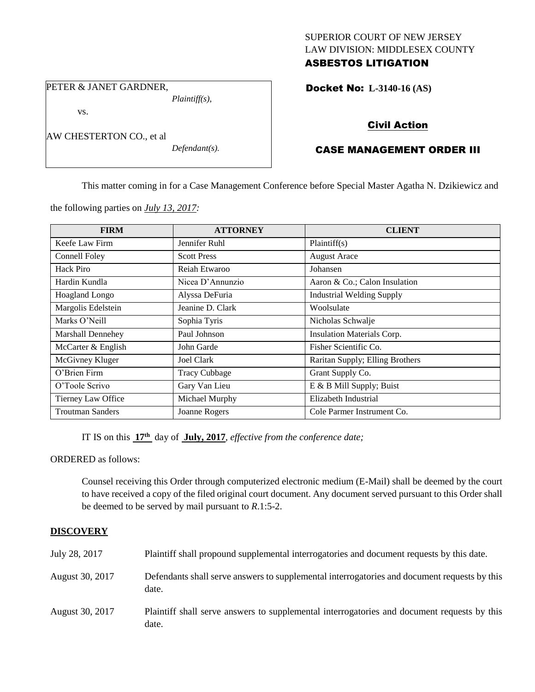# SUPERIOR COURT OF NEW JERSEY LAW DIVISION: MIDDLESEX COUNTY ASBESTOS LITIGATION

Docket No: **L-3140-16 (AS)** 

PETER & JANET GARDNER, *Plaintiff(s),*

AW CHESTERTON CO., et al

vs.

*Defendant(s).*

Civil Action

# CASE MANAGEMENT ORDER III

This matter coming in for a Case Management Conference before Special Master Agatha N. Dzikiewicz and

the following parties on *July 13, 2017:*

| <b>FIRM</b>             | <b>ATTORNEY</b>      | <b>CLIENT</b>                    |
|-------------------------|----------------------|----------------------------------|
| Keefe Law Firm          | Jennifer Ruhl        | Plaintiff(s)                     |
| Connell Foley           | <b>Scott Press</b>   | <b>August Arace</b>              |
| Hack Piro               | Reiah Etwaroo        | Johansen                         |
| Hardin Kundla           | Nicea D'Annunzio     | Aaron & Co.; Calon Insulation    |
| <b>Hoagland Longo</b>   | Alyssa DeFuria       | <b>Industrial Welding Supply</b> |
| Margolis Edelstein      | Jeanine D. Clark     | Woolsulate                       |
| Marks O'Neill           | Sophia Tyris         | Nicholas Schwalje                |
| Marshall Dennehey       | Paul Johnson         | Insulation Materials Corp.       |
| McCarter & English      | John Garde           | Fisher Scientific Co.            |
| McGivney Kluger         | <b>Joel Clark</b>    | Raritan Supply; Elling Brothers  |
| O'Brien Firm            | <b>Tracy Cubbage</b> | Grant Supply Co.                 |
| O'Toole Scrivo          | Gary Van Lieu        | E & B Mill Supply; Buist         |
| Tierney Law Office      | Michael Murphy       | Elizabeth Industrial             |
| <b>Troutman Sanders</b> | Joanne Rogers        | Cole Parmer Instrument Co.       |

IT IS on this **17th** day of **July, 2017**, *effective from the conference date;*

ORDERED as follows:

Counsel receiving this Order through computerized electronic medium (E-Mail) shall be deemed by the court to have received a copy of the filed original court document. Any document served pursuant to this Order shall be deemed to be served by mail pursuant to *R*.1:5-2.

# **DISCOVERY**

| July 28, 2017   | Plaintiff shall propound supplemental interrogatories and document requests by this date.             |
|-----------------|-------------------------------------------------------------------------------------------------------|
| August 30, 2017 | Defendants shall serve answers to supplemental interrogatories and document requests by this<br>date. |
| August 30, 2017 | Plaintiff shall serve answers to supplemental interrogatories and document requests by this<br>date.  |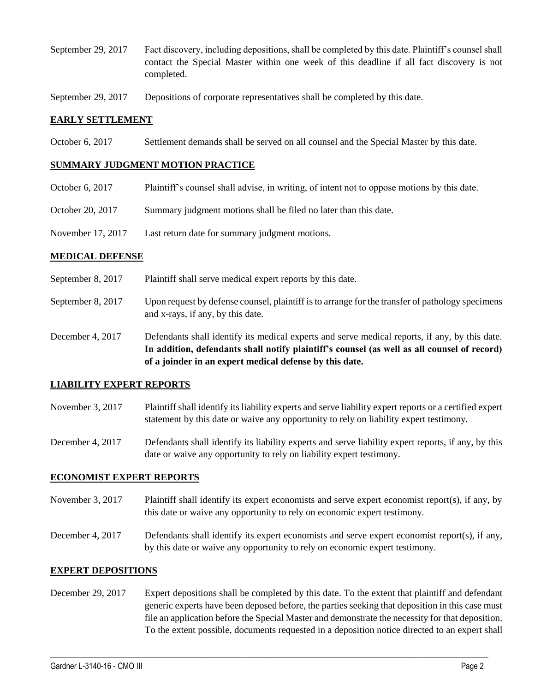- September 29, 2017 Fact discovery, including depositions, shall be completed by this date. Plaintiff's counsel shall contact the Special Master within one week of this deadline if all fact discovery is not completed.
- September 29, 2017 Depositions of corporate representatives shall be completed by this date.

## **EARLY SETTLEMENT**

October 6, 2017 Settlement demands shall be served on all counsel and the Special Master by this date.

## **SUMMARY JUDGMENT MOTION PRACTICE**

- October 6, 2017 Plaintiff's counsel shall advise, in writing, of intent not to oppose motions by this date.
- October 20, 2017 Summary judgment motions shall be filed no later than this date.
- November 17, 2017 Last return date for summary judgment motions.

## **MEDICAL DEFENSE**

- September 8, 2017 Plaintiff shall serve medical expert reports by this date.
- September 8, 2017 Upon request by defense counsel, plaintiff is to arrange for the transfer of pathology specimens and x-rays, if any, by this date.
- December 4, 2017 Defendants shall identify its medical experts and serve medical reports, if any, by this date. **In addition, defendants shall notify plaintiff's counsel (as well as all counsel of record) of a joinder in an expert medical defense by this date.**

# **LIABILITY EXPERT REPORTS**

- November 3, 2017 Plaintiff shall identify its liability experts and serve liability expert reports or a certified expert statement by this date or waive any opportunity to rely on liability expert testimony.
- December 4, 2017 Defendants shall identify its liability experts and serve liability expert reports, if any, by this date or waive any opportunity to rely on liability expert testimony.

#### **ECONOMIST EXPERT REPORTS**

- November 3, 2017 Plaintiff shall identify its expert economists and serve expert economist report(s), if any, by this date or waive any opportunity to rely on economic expert testimony.
- December 4, 2017 Defendants shall identify its expert economists and serve expert economist report(s), if any, by this date or waive any opportunity to rely on economic expert testimony.

# **EXPERT DEPOSITIONS**

December 29, 2017 Expert depositions shall be completed by this date. To the extent that plaintiff and defendant generic experts have been deposed before, the parties seeking that deposition in this case must file an application before the Special Master and demonstrate the necessity for that deposition. To the extent possible, documents requested in a deposition notice directed to an expert shall

 $\_$  ,  $\_$  ,  $\_$  ,  $\_$  ,  $\_$  ,  $\_$  ,  $\_$  ,  $\_$  ,  $\_$  ,  $\_$  ,  $\_$  ,  $\_$  ,  $\_$  ,  $\_$  ,  $\_$  ,  $\_$  ,  $\_$  ,  $\_$  ,  $\_$  ,  $\_$  ,  $\_$  ,  $\_$  ,  $\_$  ,  $\_$  ,  $\_$  ,  $\_$  ,  $\_$  ,  $\_$  ,  $\_$  ,  $\_$  ,  $\_$  ,  $\_$  ,  $\_$  ,  $\_$  ,  $\_$  ,  $\_$  ,  $\_$  ,